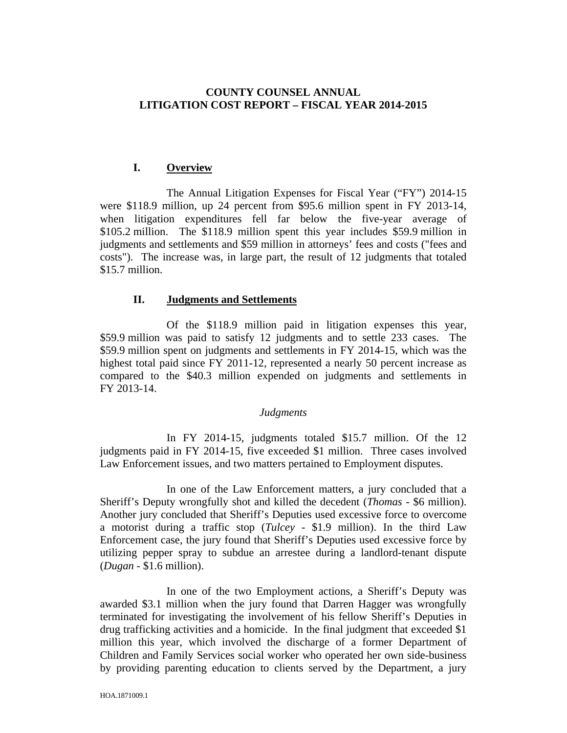# **COUNTY COUNSEL ANNUAL LITIGATION COST REPORT – FISCAL YEAR 2014-2015**

## **I. Overview**

 The Annual Litigation Expenses for Fiscal Year ("FY") 2014-15 were \$118.9 million, up 24 percent from \$95.6 million spent in FY 2013-14, when litigation expenditures fell far below the five-year average of \$105.2 million. The \$118.9 million spent this year includes \$59.9 million in judgments and settlements and \$59 million in attorneys' fees and costs ("fees and costs"). The increase was, in large part, the result of 12 judgments that totaled \$15.7 million.

### **II. Judgments and Settlements**

 Of the \$118.9 million paid in litigation expenses this year, \$59.9 million was paid to satisfy 12 judgments and to settle 233 cases. The \$59.9 million spent on judgments and settlements in FY 2014-15, which was the highest total paid since FY 2011-12, represented a nearly 50 percent increase as compared to the \$40.3 million expended on judgments and settlements in FY 2013-14.

### *Judgments*

 In FY 2014-15, judgments totaled \$15.7 million. Of the 12 judgments paid in FY 2014-15, five exceeded \$1 million. Three cases involved Law Enforcement issues, and two matters pertained to Employment disputes.

 In one of the Law Enforcement matters, a jury concluded that a Sheriff's Deputy wrongfully shot and killed the decedent (*Thomas* - \$6 million). Another jury concluded that Sheriff's Deputies used excessive force to overcome a motorist during a traffic stop (*Tulcey* - \$1.9 million). In the third Law Enforcement case, the jury found that Sheriff's Deputies used excessive force by utilizing pepper spray to subdue an arrestee during a landlord-tenant dispute (*Dugan* - \$1.6 million).

 In one of the two Employment actions, a Sheriff's Deputy was awarded \$3.1 million when the jury found that Darren Hagger was wrongfully terminated for investigating the involvement of his fellow Sheriff's Deputies in drug trafficking activities and a homicide. In the final judgment that exceeded \$1 million this year, which involved the discharge of a former Department of Children and Family Services social worker who operated her own side-business by providing parenting education to clients served by the Department, a jury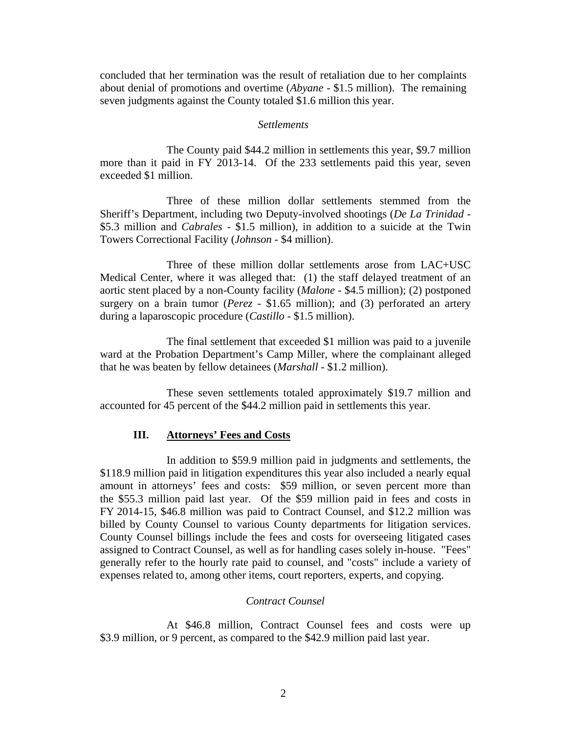concluded that her termination was the result of retaliation due to her complaints about denial of promotions and overtime (*Abyane* - \$1.5 million). The remaining seven judgments against the County totaled \$1.6 million this year.

#### *Settlements*

 The County paid \$44.2 million in settlements this year, \$9.7 million more than it paid in FY 2013-14. Of the 233 settlements paid this year, seven exceeded \$1 million.

 Three of these million dollar settlements stemmed from the Sheriff's Department, including two Deputy-involved shootings (*De La Trinidad* - \$5.3 million and *Cabrales* - \$1.5 million), in addition to a suicide at the Twin Towers Correctional Facility (*Johnson* - \$4 million).

 Three of these million dollar settlements arose from LAC+USC Medical Center, where it was alleged that: (1) the staff delayed treatment of an aortic stent placed by a non-County facility (*Malone* - \$4.5 million); (2) postponed surgery on a brain tumor (*Perez* - \$1.65 million); and (3) perforated an artery during a laparoscopic procedure (*Castillo* - \$1.5 million).

 The final settlement that exceeded \$1 million was paid to a juvenile ward at the Probation Department's Camp Miller, where the complainant alleged that he was beaten by fellow detainees (*Marshall* - \$1.2 million).

 These seven settlements totaled approximately \$19.7 million and accounted for 45 percent of the \$44.2 million paid in settlements this year.

### **III. Attorneys' Fees and Costs**

 In addition to \$59.9 million paid in judgments and settlements, the \$118.9 million paid in litigation expenditures this year also included a nearly equal amount in attorneys' fees and costs: \$59 million, or seven percent more than the \$55.3 million paid last year. Of the \$59 million paid in fees and costs in FY 2014-15, \$46.8 million was paid to Contract Counsel, and \$12.2 million was billed by County Counsel to various County departments for litigation services. County Counsel billings include the fees and costs for overseeing litigated cases assigned to Contract Counsel, as well as for handling cases solely in-house. "Fees" generally refer to the hourly rate paid to counsel, and "costs" include a variety of expenses related to, among other items, court reporters, experts, and copying.

### *Contract Counsel*

 At \$46.8 million, Contract Counsel fees and costs were up \$3.9 million, or 9 percent, as compared to the \$42.9 million paid last year.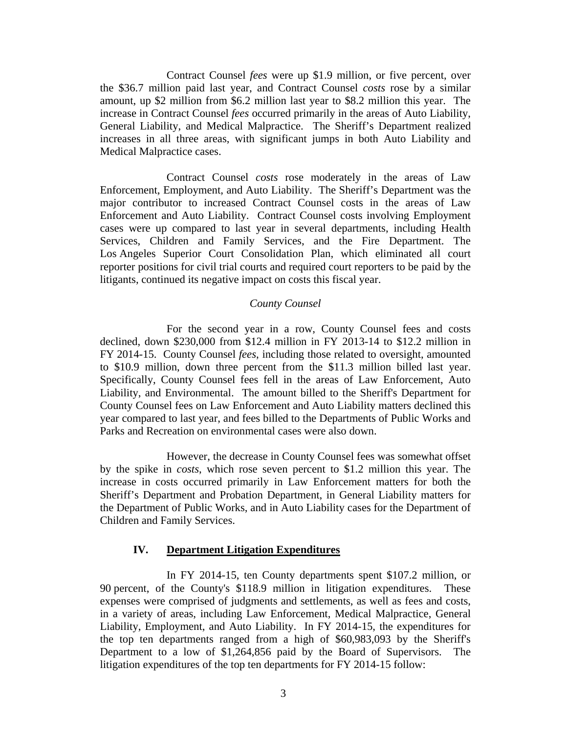Contract Counsel *fees* were up \$1.9 million, or five percent, over the \$36.7 million paid last year, and Contract Counsel *costs* rose by a similar amount, up \$2 million from \$6.2 million last year to \$8.2 million this year. The increase in Contract Counsel *fees* occurred primarily in the areas of Auto Liability, General Liability, and Medical Malpractice. The Sheriff's Department realized increases in all three areas, with significant jumps in both Auto Liability and Medical Malpractice cases.

 Contract Counsel *costs* rose moderately in the areas of Law Enforcement, Employment, and Auto Liability. The Sheriff's Department was the major contributor to increased Contract Counsel costs in the areas of Law Enforcement and Auto Liability. Contract Counsel costs involving Employment cases were up compared to last year in several departments, including Health Services, Children and Family Services, and the Fire Department. The Los Angeles Superior Court Consolidation Plan, which eliminated all court reporter positions for civil trial courts and required court reporters to be paid by the litigants, continued its negative impact on costs this fiscal year.

### *County Counsel*

 For the second year in a row, County Counsel fees and costs declined, down \$230,000 from \$12.4 million in FY 2013-14 to \$12.2 million in FY 2014-15. County Counsel *fees*, including those related to oversight, amounted to \$10.9 million, down three percent from the \$11.3 million billed last year. Specifically, County Counsel fees fell in the areas of Law Enforcement, Auto Liability, and Environmental. The amount billed to the Sheriff's Department for County Counsel fees on Law Enforcement and Auto Liability matters declined this year compared to last year, and fees billed to the Departments of Public Works and Parks and Recreation on environmental cases were also down.

 However, the decrease in County Counsel fees was somewhat offset by the spike in *costs*, which rose seven percent to \$1.2 million this year. The increase in costs occurred primarily in Law Enforcement matters for both the Sheriff's Department and Probation Department, in General Liability matters for the Department of Public Works, and in Auto Liability cases for the Department of Children and Family Services.

#### **IV. Department Litigation Expenditures**

 In FY 2014-15, ten County departments spent \$107.2 million, or 90 percent, of the County's \$118.9 million in litigation expenditures. These expenses were comprised of judgments and settlements, as well as fees and costs, in a variety of areas, including Law Enforcement, Medical Malpractice, General Liability, Employment, and Auto Liability. In FY 2014-15, the expenditures for the top ten departments ranged from a high of \$60,983,093 by the Sheriff's Department to a low of \$1,264,856 paid by the Board of Supervisors. The litigation expenditures of the top ten departments for FY 2014-15 follow: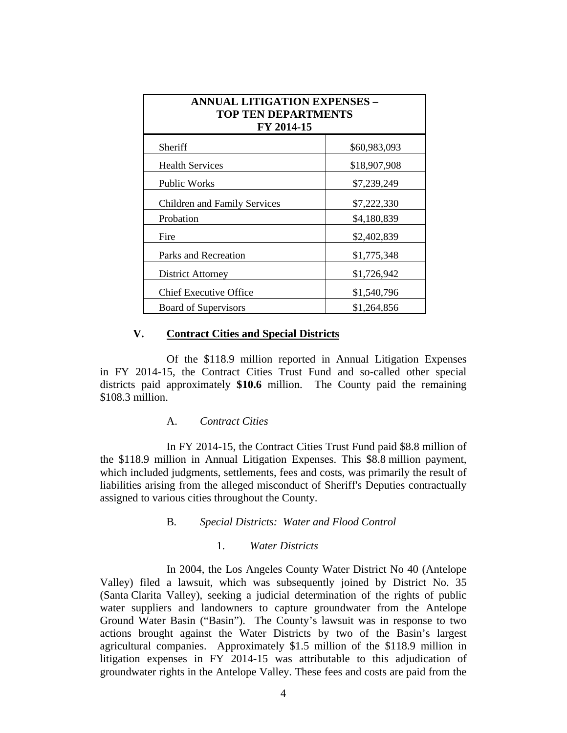| <b>ANNUAL LITIGATION EXPENSES -</b><br><b>TOP TEN DEPARTMENTS</b><br>FY 2014-15 |              |
|---------------------------------------------------------------------------------|--------------|
| Sheriff                                                                         | \$60,983,093 |
| <b>Health Services</b>                                                          | \$18,907,908 |
| <b>Public Works</b>                                                             | \$7,239,249  |
| Children and Family Services                                                    | \$7,222,330  |
| Probation                                                                       | \$4,180,839  |
| Fire                                                                            | \$2,402,839  |
| Parks and Recreation                                                            | \$1,775,348  |
| District Attorney                                                               | \$1,726,942  |
| <b>Chief Executive Office</b>                                                   | \$1,540,796  |
| <b>Board of Supervisors</b>                                                     | \$1,264,856  |

# **V. Contract Cities and Special Districts**

Of the \$118.9 million reported in Annual Litigation Expenses in FY 2014-15, the Contract Cities Trust Fund and so-called other special districts paid approximately **\$10.6** million. The County paid the remaining \$108.3 million.

### A. *Contract Cities*

 In FY 2014-15, the Contract Cities Trust Fund paid \$8.8 million of the \$118.9 million in Annual Litigation Expenses. This \$8.8 million payment, which included judgments, settlements, fees and costs, was primarily the result of liabilities arising from the alleged misconduct of Sheriff's Deputies contractually assigned to various cities throughout the County.

### B*. Special Districts: Water and Flood Control*

### 1. *Water Districts*

 In 2004, the Los Angeles County Water District No 40 (Antelope Valley) filed a lawsuit, which was subsequently joined by District No. 35 (Santa Clarita Valley), seeking a judicial determination of the rights of public water suppliers and landowners to capture groundwater from the Antelope Ground Water Basin ("Basin"). The County's lawsuit was in response to two actions brought against the Water Districts by two of the Basin's largest agricultural companies. Approximately \$1.5 million of the \$118.9 million in litigation expenses in FY 2014-15 was attributable to this adjudication of groundwater rights in the Antelope Valley. These fees and costs are paid from the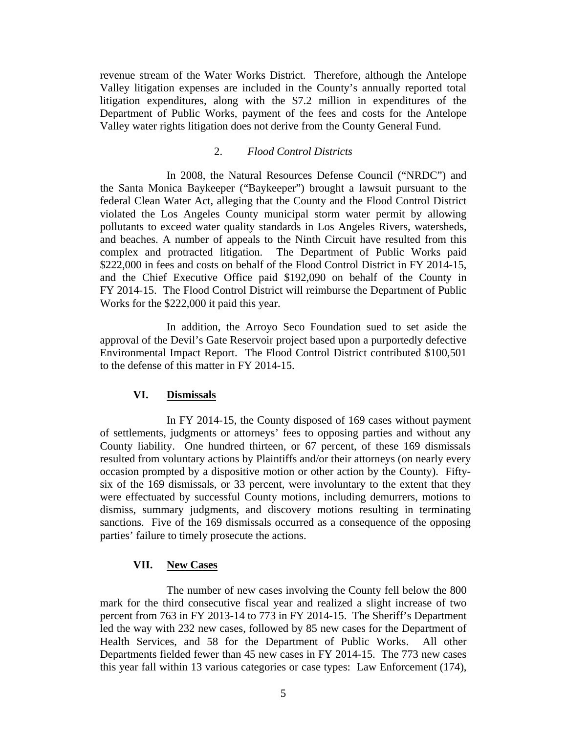revenue stream of the Water Works District. Therefore, although the Antelope Valley litigation expenses are included in the County's annually reported total litigation expenditures, along with the \$7.2 million in expenditures of the Department of Public Works, payment of the fees and costs for the Antelope Valley water rights litigation does not derive from the County General Fund.

### 2. *Flood Control Districts*

 In 2008, the Natural Resources Defense Council ("NRDC") and the Santa Monica Baykeeper ("Baykeeper") brought a lawsuit pursuant to the federal Clean Water Act, alleging that the County and the Flood Control District violated the Los Angeles County municipal storm water permit by allowing pollutants to exceed water quality standards in Los Angeles Rivers, watersheds, and beaches. A number of appeals to the Ninth Circuit have resulted from this complex and protracted litigation. The Department of Public Works paid \$222,000 in fees and costs on behalf of the Flood Control District in FY 2014-15, and the Chief Executive Office paid \$192,090 on behalf of the County in FY 2014-15. The Flood Control District will reimburse the Department of Public Works for the \$222,000 it paid this year.

 In addition, the Arroyo Seco Foundation sued to set aside the approval of the Devil's Gate Reservoir project based upon a purportedly defective Environmental Impact Report. The Flood Control District contributed \$100,501 to the defense of this matter in FY 2014-15.

### **VI. Dismissals**

 In FY 2014-15, the County disposed of 169 cases without payment of settlements, judgments or attorneys' fees to opposing parties and without any County liability. One hundred thirteen, or 67 percent, of these 169 dismissals resulted from voluntary actions by Plaintiffs and/or their attorneys (on nearly every occasion prompted by a dispositive motion or other action by the County). Fiftysix of the 169 dismissals, or 33 percent, were involuntary to the extent that they were effectuated by successful County motions, including demurrers, motions to dismiss, summary judgments, and discovery motions resulting in terminating sanctions. Five of the 169 dismissals occurred as a consequence of the opposing parties' failure to timely prosecute the actions.

## **VII. New Cases**

 The number of new cases involving the County fell below the 800 mark for the third consecutive fiscal year and realized a slight increase of two percent from 763 in FY 2013-14 to 773 in FY 2014-15. The Sheriff's Department led the way with 232 new cases, followed by 85 new cases for the Department of Health Services, and 58 for the Department of Public Works. All other Departments fielded fewer than 45 new cases in FY 2014-15. The 773 new cases this year fall within 13 various categories or case types: Law Enforcement (174),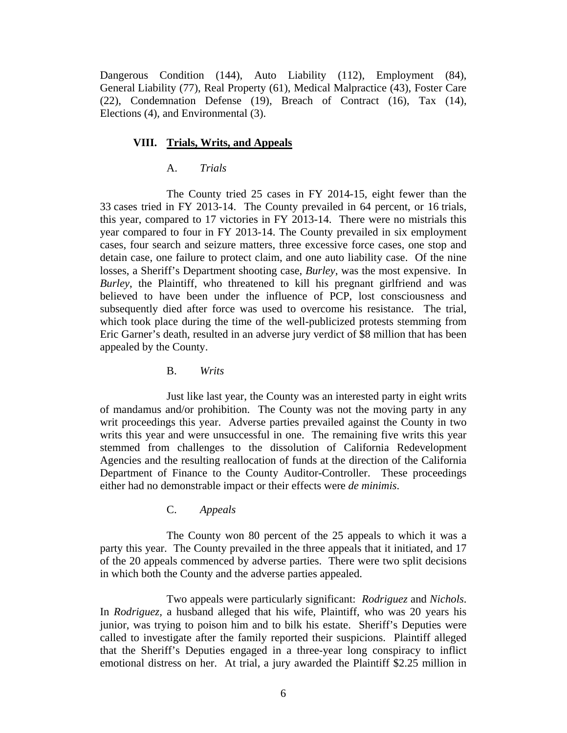Dangerous Condition (144), Auto Liability (112), Employment (84), General Liability (77), Real Property (61), Medical Malpractice (43), Foster Care (22), Condemnation Defense (19), Breach of Contract (16), Tax (14), Elections (4), and Environmental (3).

#### **VIII. Trials, Writs, and Appeals**

### A. *Trials*

 The County tried 25 cases in FY 2014-15, eight fewer than the 33 cases tried in FY 2013-14. The County prevailed in 64 percent, or 16 trials, this year, compared to 17 victories in FY 2013-14. There were no mistrials this year compared to four in FY 2013-14. The County prevailed in six employment cases, four search and seizure matters, three excessive force cases, one stop and detain case, one failure to protect claim, and one auto liability case. Of the nine losses, a Sheriff's Department shooting case, *Burley*, was the most expensive. In *Burley*, the Plaintiff, who threatened to kill his pregnant girlfriend and was believed to have been under the influence of PCP, lost consciousness and subsequently died after force was used to overcome his resistance. The trial, which took place during the time of the well-publicized protests stemming from Eric Garner's death, resulted in an adverse jury verdict of \$8 million that has been appealed by the County.

B. *Writs*

 Just like last year, the County was an interested party in eight writs of mandamus and/or prohibition. The County was not the moving party in any writ proceedings this year. Adverse parties prevailed against the County in two writs this year and were unsuccessful in one. The remaining five writs this year stemmed from challenges to the dissolution of California Redevelopment Agencies and the resulting reallocation of funds at the direction of the California Department of Finance to the County Auditor-Controller. These proceedings either had no demonstrable impact or their effects were *de minimis*.

C. *Appeals*

 The County won 80 percent of the 25 appeals to which it was a party this year. The County prevailed in the three appeals that it initiated, and 17 of the 20 appeals commenced by adverse parties. There were two split decisions in which both the County and the adverse parties appealed.

 Two appeals were particularly significant: *Rodriguez* and *Nichols*. In *Rodriguez,* a husband alleged that his wife, Plaintiff, who was 20 years his junior, was trying to poison him and to bilk his estate. Sheriff's Deputies were called to investigate after the family reported their suspicions. Plaintiff alleged that the Sheriff's Deputies engaged in a three-year long conspiracy to inflict emotional distress on her. At trial, a jury awarded the Plaintiff \$2.25 million in